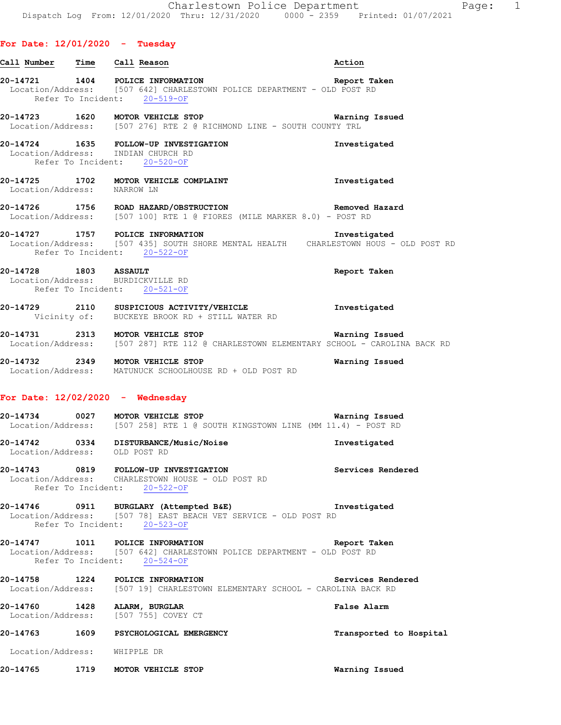| Call Number Time Call Reason |                                                                                                                                                                                                           | Action         |
|------------------------------|-----------------------------------------------------------------------------------------------------------------------------------------------------------------------------------------------------------|----------------|
|                              | 20-14721 1404 POLICE INFORMATION<br>Location/Address: [507 642] CHARLESTOWN POLICE DEPARTMENT - OLD POST RD<br>Refer To Incident: 20-519-OF                                                               | Report Taken   |
|                              | 20-14723 1620 MOTOR VEHICLE STOP 120 16 Warning Issued<br>Location/Address: [507 276] RTE 2 @ RICHMOND LINE - SOUTH COUNTY TRL                                                                            |                |
|                              | 20-14724 1635 FOLLOW-UP INVESTIGATION<br>Location/Address: INDIAN CHURCH RD<br>Refer To Incident: 20-520-OF                                                                                               | Investigated   |
| Location/Address: NARROW LN  | 20-14725 1702 MOTOR VEHICLE COMPLAINT                                                                                                                                                                     | Investigated   |
|                              | 20-14726 1756 ROAD HAZARD/OBSTRUCTION CONTROLLER Removed Hazard<br>Location/Address: [507 100] RTE 1 @ FIORES (MILE MARKER 8.0) - POST RD                                                                 |                |
|                              | 20-14727 1757 POLICE INFORMATION Threstigated<br>Location/Address: [507 435] SOUTH SHORE MENTAL HEALTH CHARLESTOWN HOUS - OLD POST RD<br>20-14727 1757 POLICE INFORMATION<br>Refer To Incident: 20-522-OF |                |
| 20-14728 1803 ASSAULT        | Location/Address: BURDICKVILLE RD<br>Refer To Incident: 20-521-OF                                                                                                                                         | Report Taken   |
|                              | 20-14729 2110 SUSPICIOUS ACTIVITY/VEHICLE<br>Vicinity of: BUCKEYE BROOK RD + STILL WATER RD                                                                                                               | Investigated   |
|                              | 20-14731 2313 MOTOR VEHICLE STOP Warning Issued<br>Location/Address: [507 287] RTE 112 @ CHARLESTOWN ELEMENTARY SCHOOL - CAROLINA BACK RD                                                                 |                |
|                              | 20-14732 2349 MOTOR VEHICLE STOP<br>Location/Address: MATUNUCK SCHOOLHOUSE RD + OLD POST RD                                                                                                               | Warning Issued |

### **For Date: 12/02/2020 - Wednesday**

**20-14734 0027 MOTOR VEHICLE STOP Warning Issued**  Location/Address: [507 258] RTE 1 @ SOUTH KINGSTOWN LINE (MM 11.4) - POST RD

**20-14742 0334 DISTURBANCE/Music/Noise Investigated**  Location/Address: OLD POST RD

**20-14743 0819 FOLLOW-UP INVESTIGATION Services Rendered**  Location/Address: CHARLESTOWN HOUSE - OLD POST RD Refer To Incident: 20-522-OF

**20-14746 0911 BURGLARY (Attempted B&E) Investigated**  Location/Address: [507 78] EAST BEACH VET SERVICE - OLD POST RD Refer To Incident: 20-523-OF

**20-14747 1011 POLICE INFORMATION Report Taken**  Location/Address: [507 642] CHARLESTOWN POLICE DEPARTMENT - OLD POST RD Refer To Incident: 20-524-OF

**20-14758 1224 POLICE INFORMATION Services Rendered**  Location/Address: [507 19] CHARLESTOWN ELEMENTARY SCHOOL - CAROLINA BACK RD

**20-14760 1428 ALARM, BURGLAR False Alarm**  Location/Address: [507 755] COVEY CT

**20-14763 1609 PSYCHOLOGICAL EMERGENCY Transported to Hospital**  Location/Address: WHIPPLE DR

**20-14765 1719 MOTOR VEHICLE STOP Warning Issued**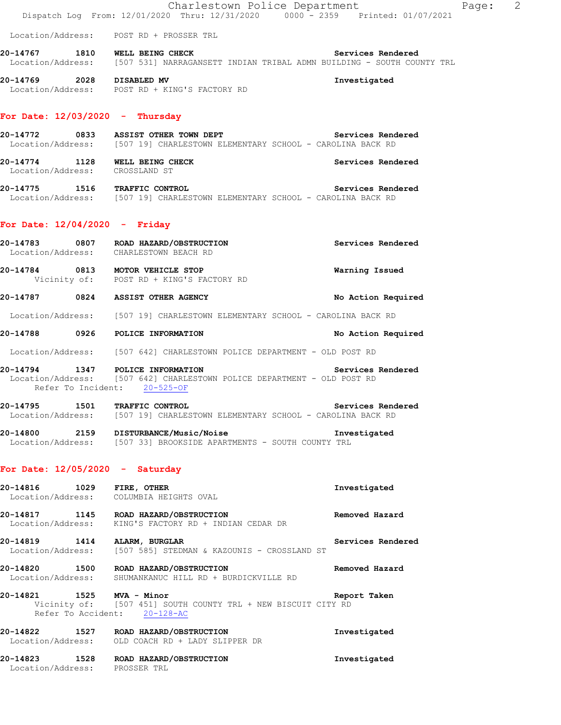|                                   | Charlestown Police Department<br>Dispatch Log From: 12/01/2020 Thru: 12/31/2020 0000 - 2359 Printed: 01/07/2021                             |                    | Page: 2 |
|-----------------------------------|---------------------------------------------------------------------------------------------------------------------------------------------|--------------------|---------|
|                                   | Location/Address: POST RD + PROSSER TRL                                                                                                     |                    |         |
|                                   | 20-14767 1810 WELL BEING CHECK<br>Location/Address: [507 531] NARRAGANSETT INDIAN TRIBAL ADMN BUILDING - SOUTH COUNTY TRL                   | Services Rendered  |         |
| 20-14769 2028 DISABLED MV         | Location/Address: POST RD + KING'S FACTORY RD                                                                                               | Investigated       |         |
| For Date: $12/03/2020 -$ Thursday |                                                                                                                                             |                    |         |
|                                   | 20-14772 0833 ASSIST OTHER TOWN DEPT Services Rendered<br>Location/Address: [507 19] CHARLESTOWN ELEMENTARY SCHOOL - CAROLINA BACK RD       |                    |         |
| Location/Address: CROSSLAND ST    | 20-14774 1128 WELL BEING CHECK                                                                                                              | Services Rendered  |         |
|                                   | 20-14775 1516 TRAFFIC CONTROL 20-14775 Services Rendered<br>Location/Address: [507 19] CHARLESTOWN ELEMENTARY SCHOOL - CAROLINA BACK RD     |                    |         |
| For Date: $12/04/2020 -$ Friday   |                                                                                                                                             |                    |         |
|                                   | 20-14783 0807 ROAD HAZARD/OBSTRUCTION<br>Location/Address: CHARLESTOWN BEACH RD                                                             | Services Rendered  |         |
|                                   | 20-14784 0813 MOTOR VEHICLE STOP<br>Vicinity of: POST RD + KING'S FACTORY RD                                                                | Warning Issued     |         |
|                                   | 20-14787 0824 ASSIST OTHER AGENCY                                                                                                           | No Action Required |         |
|                                   | Location/Address: [507 19] CHARLESTOWN ELEMENTARY SCHOOL - CAROLINA BACK RD                                                                 |                    |         |
|                                   | 20-14788 0926 POLICE INFORMATION                                                                                                            | No Action Required |         |
|                                   | Location/Address: [507 642] CHARLESTOWN POLICE DEPARTMENT - OLD POST RD                                                                     |                    |         |
|                                   | 20-14794 1347 POLICE INFORMATION<br>Location/Address: [507 642] CHARLESTOWN POLICE DEPARTMENT - OLD POST RD<br>Refer To Incident: 20-525-OF | Services Rendered  |         |
|                                   | 20-14795 1501 TRAFFIC CONTROL<br>Location/Address: [507 19] CHARLESTOWN ELEMENTARY SCHOOL - CAROLINA BACK RD                                | Services Rendered  |         |
|                                   | 20-14800  2159 DISTURBANCE/Music/Noise<br>Location/Address: [507 33] BROOKSIDE APARTMENTS - SOUTH COUNTY TRL                                | Investigated       |         |
| For Date: $12/05/2020 -$ Saturday |                                                                                                                                             |                    |         |
| 20-14816 1029 FIRE, OTHER         | Location/Address: COLUMBIA HEIGHTS OVAL                                                                                                     | Investigated       |         |
|                                   | 20-14817 1145 ROAD HAZARD/OBSTRUCTION<br>Location/Address: KING'S FACTORY RD + INDIAN CEDAR DR                                              | Removed Hazard     |         |
|                                   | 20-14819 1414 ALARM, BURGLAR<br>Location/Address: [507 585] STEDMAN & KAZOUNIS - CROSSLAND ST                                               | Services Rendered  |         |
|                                   | 20-14820 1500 ROAD HAZARD/OBSTRUCTION<br>Location/Address: SHUMANKANUC HILL RD + BURDICKVILLE RD                                            | Removed Hazard     |         |
| 20-14821 1525 MVA - Minor         | Vicinity of: [507 451] SOUTH COUNTY TRL + NEW BISCUIT CITY RD<br>Refer To Accident: 20-128-AC                                               | Report Taken       |         |
|                                   | 20-14822 1527 ROAD HAZARD/OBSTRUCTION<br>Location/Address: OLD COACH RD + LADY SLIPPER DR                                                   | Investigated       |         |
| Location/Address: PROSSER TRL     | 20-14823 1528 ROAD HAZARD/OBSTRUCTION                                                                                                       | Investigated       |         |
|                                   |                                                                                                                                             |                    |         |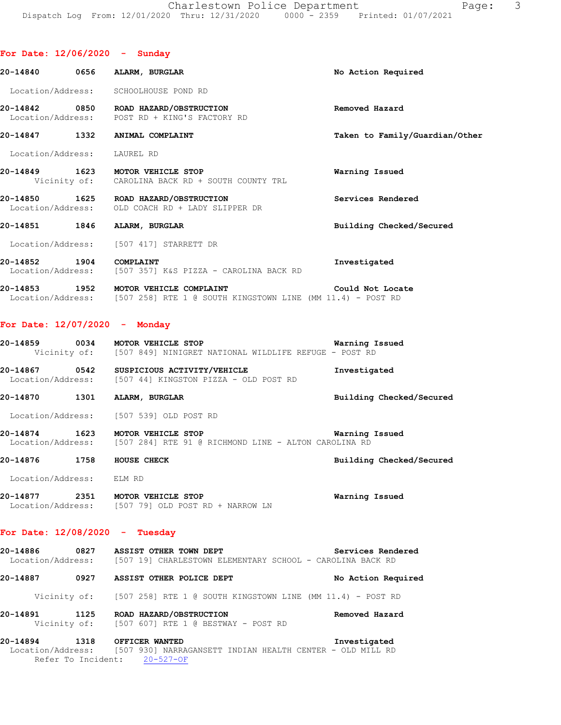|         | rayc. |  |
|---------|-------|--|
| 17/2021 |       |  |

| For Date: $12/06/2020 -$ Sunday  |      |                                                                                                                                             |                                |
|----------------------------------|------|---------------------------------------------------------------------------------------------------------------------------------------------|--------------------------------|
|                                  |      | 20-14840 0656 ALARM, BURGLAR                                                                                                                | No Action Required             |
|                                  |      | Location/Address: SCHOOLHOUSE POND RD                                                                                                       |                                |
|                                  |      | 20-14842 0850 ROAD HAZARD/OBSTRUCTION<br>Location/Address: POST RD + KING'S FACTORY RD                                                      | Removed Hazard                 |
|                                  |      | 20-14847 1332 ANIMAL COMPLAINT                                                                                                              | Taken to Family/Guardian/Other |
| Location/Address: LAUREL RD      |      |                                                                                                                                             |                                |
|                                  |      | 20-14849 1623 MOTOR VEHICLE STOP<br>Vicinity of: CAROLINA BACK RD + SOUTH COUNTY TRL                                                        | Warning Issued                 |
|                                  |      | 20-14850 1625 ROAD HAZARD/OBSTRUCTION<br>Location/Address: OLD COACH RD + LADY SLIPPER DR                                                   | Services Rendered              |
|                                  |      | 20-14851 1846 ALARM, BURGLAR                                                                                                                | Building Checked/Secured       |
|                                  |      | Location/Address: [507 417] STARRETT DR                                                                                                     |                                |
| 20-14852 1904 COMPLAINT          |      | Location/Address: [507 357] K&S PIZZA - CAROLINA BACK RD                                                                                    | Investigated                   |
|                                  |      | 20-14853 1952 MOTOR VEHICLE COMPLAINT<br>Location/Address: [507 258] RTE 1 @ SOUTH KINGSTOWN LINE (MM 11.4) - POST RD                       | Could Not Locate               |
| For Date: $12/07/2020 -$ Monday  |      |                                                                                                                                             |                                |
|                                  |      | 20-14859 0034 MOTOR VEHICLE STOP<br>Vicinity of: [507 849] NINIGRET NATIONAL WILDLIFE REFUGE - POST RD                                      | Warning Issued                 |
|                                  |      | 20-14867 0542 SUSPICIOUS ACTIVITY/VEHICLE<br>Location/Address: [507 44] KINGSTON PIZZA - OLD POST RD                                        | Investigated                   |
|                                  |      | 20-14870 1301 ALARM, BURGLAR                                                                                                                | Building Checked/Secured       |
|                                  |      | Location/Address: [507 539] OLD POST RD                                                                                                     |                                |
|                                  |      | 20-14874 1623 MOTOR VEHICLE STOP<br>Location/Address: [507 284] RTE 91 @ RICHMOND LINE - ALTON CAROLINA RD                                  | Warning Issued                 |
| 20-14876                         | 1758 | HOUSE CHECK                                                                                                                                 | Building Checked/Secured       |
| Location/Address: ELM RD         |      |                                                                                                                                             |                                |
|                                  |      | 20-14877 2351 MOTOR VEHICLE STOP<br>Location/Address: [507 79] OLD POST RD + NARROW LN                                                      | Warning Issued                 |
| For Date: $12/08/2020 -$ Tuesday |      |                                                                                                                                             |                                |
|                                  |      | 20-14886 0827 ASSIST OTHER TOWN DEPT<br>Location/Address: [507 19] CHARLESTOWN ELEMENTARY SCHOOL - CAROLINA BACK RD                         | Services Rendered              |
|                                  |      | 20-14887 0927 ASSIST OTHER POLICE DEPT                                                                                                      | No Action Required             |
|                                  |      | Vicinity of: [507 258] RTE 1 @ SOUTH KINGSTOWN LINE (MM 11.4) - POST RD                                                                     |                                |
|                                  |      | 20-14891 1125 ROAD HAZARD/OBSTRUCTION<br>Vicinity of: [507 607] RTE 1 @ BESTWAY - POST RD                                                   | Removed Hazard                 |
|                                  |      | 20-14894 1318 OFFICER WANTED<br>Location/Address: [507 930] NARRAGANSETT INDIAN HEALTH CENTER - OLD MILL RD<br>Refer To Incident: 20-527-OF | Investigated                   |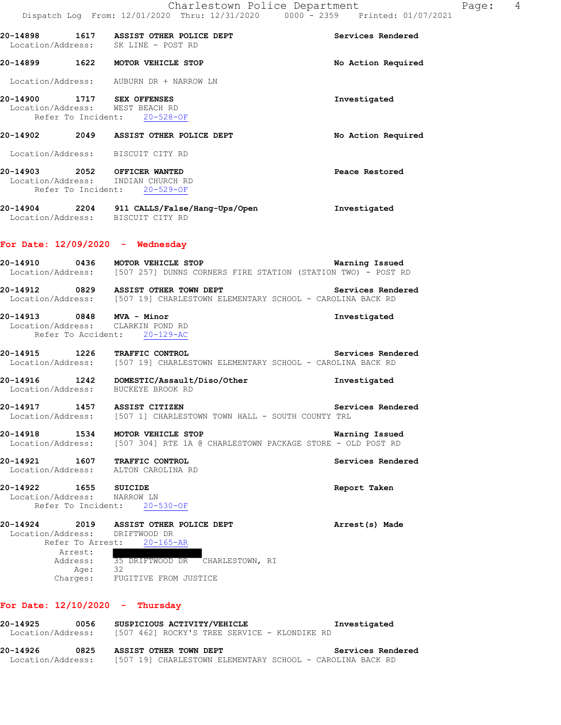|                                         |                    | 20-14898 1617 ASSIST OTHER POLICE DEPT<br>Location/Address: SK LINE - POST RD                                                                        | Services Rendered  |
|-----------------------------------------|--------------------|------------------------------------------------------------------------------------------------------------------------------------------------------|--------------------|
|                                         |                    | 20-14899 1622 MOTOR VEHICLE STOP                                                                                                                     | No Action Required |
|                                         |                    | Location/Address: AUBURN DR + NARROW LN                                                                                                              |                    |
|                                         |                    | 20-14900 1717 SEX OFFENSES<br>Location/Address: WEST BEACH RD<br>Refer To Incident: 20-528-OF                                                        | Investigated       |
|                                         |                    | 20-14902 2049 ASSIST OTHER POLICE DEPT                                                                                                               | No Action Required |
|                                         |                    | Location/Address: BISCUIT CITY RD                                                                                                                    |                    |
|                                         |                    | 20-14903 2052 OFFICER WANTED<br>Location/Address: INDIAN CHURCH RD<br>Refer To Incident: 20-529-OF                                                   | Peace Restored     |
|                                         |                    | 20-14904 2204 911 CALLS/False/Hang-Ups/Open Investigated<br>Location/Address: BISCUIT CITY RD                                                        |                    |
|                                         |                    | For Date: $12/09/2020 -$ Wednesday                                                                                                                   |                    |
|                                         |                    | 20-14910 0436 MOTOR VEHICLE STOP<br>Location/Address: [507 257] DUNNS CORNERS FIRE STATION (STATION TWO) - POST RD                                   | Warning Issued     |
|                                         |                    | 20-14912   0829   ASSIST OTHER TOWN DEPT   CHOOL - CAROLINA BACK RD<br>Location/Address:   [507 19] CHARLESTOWN ELEMENTARY SCHOOL - CAROLINA BACK RD | Services Rendered  |
|                                         |                    | 20-14913 0848 MVA - Minor<br>Location/Address: CLARKIN POND RD<br>Refer To Accident: 20-129-AC                                                       | Investigated       |
|                                         |                    | 20-14915 1226 TRAFFIC CONTROL<br>Location/Address: [507 19] CHARLESTOWN ELEMENTARY SCHOOL - CAROLINA BACK RD                                         | Services Rendered  |
|                                         |                    | 20-14916 1242 DOMESTIC/Assault/Diso/Other Showshipstigated<br>Location/Address: BUCKEYE BROOK RD                                                     |                    |
|                                         |                    | 20-14917 1457 ASSIST CITIZEN<br>Location/Address: [507 1] CHARLESTOWN TOWN HALL - SOUTH COUNTY TRL                                                   | Services Rendered  |
| 20-14918<br>Location/Address:           | 1534               | MOTOR VEHICLE STOP<br>[507 304] RTE 1A @ CHARLESTOWN PACKAGE STORE - OLD POST RD                                                                     | Warning Issued     |
| 20-14921                                |                    | 1607 TRAFFIC CONTROL<br>Location/Address: ALTON CAROLINA RD                                                                                          | Services Rendered  |
| 20-14922<br>Location/Address: NARROW LN | Refer To Incident: | 1655 SUICIDE<br>$20 - 530 - OF$                                                                                                                      | Report Taken       |
|                                         |                    | 20-14924 2019 ASSIST OTHER POLICE DEPT<br>Location/Address: DRIFTWOOD DR<br>Refer To Arrest:<br>$20 - 165 - AR$                                      | Arrest(s) Made     |

| 20-14925          | 0056 | SUSPICIOUS ACTIVITY/VEHICLE                  | Investigated      |  |  |
|-------------------|------|----------------------------------------------|-------------------|--|--|
| Location/Address: |      | [507 462] ROCKY'S TREE SERVICE - KLONDIKE RD |                   |  |  |
| 20-14926          | 0825 | ASSIST OTHER TOWN DEPT                       | Services Rendered |  |  |

Location/Address: [507 19] CHARLESTOWN ELEMENTARY SCHOOL - CAROLINA BACK RD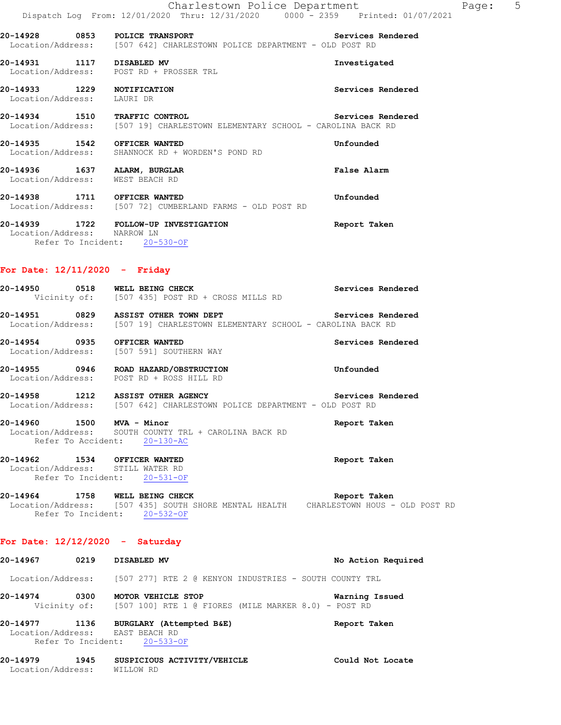**20-14928 0853 POLICE TRANSPORT Services Rendered**  Location/Address: [507 642] CHARLESTOWN POLICE DEPARTMENT - OLD POST RD **20-14931 1117 DISABLED MV Investigated**  Location/Address: POST RD + PROSSER TRL **20-14933 1229 NOTIFICATION Services Rendered**  Location/Address: LAURI DR **20-14934 1510 TRAFFIC CONTROL Services Rendered**  Location/Address: [507 19] CHARLESTOWN ELEMENTARY SCHOOL - CAROLINA BACK RD **20-14935 1542 OFFICER WANTED Unfounded**  Location/Address: SHANNOCK RD + WORDEN'S POND RD

**20-14936 1637 ALARM, BURGLAR False Alarm**  Location/Address: WEST BEACH RD

**20-14938 1711 OFFICER WANTED Unfounded**  Location/Address: [507 72] CUMBERLAND FARMS - OLD POST RD

**20-14939 1722 FOLLOW-UP INVESTIGATION Report Taken**  Location/Address: NARROW LN Refer To Incident: 20-530-OF

#### **For Date: 12/11/2020 - Friday**

**20-14950 0518 WELL BEING CHECK Services Rendered**  Vicinity of: [507 435] POST RD + CROSS MILLS RD 20-14951 **0829** ASSIST OTHER TOWN DEPT **Services Rendered** Location/Address: [507 19] CHARLESTOWN ELEMENTARY SCHOOL - CAROLINA BACK RD

**20-14954 0935 OFFICER WANTED Services Rendered**  Location/Address: [507 591] SOUTHERN WAY

**20-14955 0946 ROAD HAZARD/OBSTRUCTION Unfounded**  Location/Address: POST RD + ROSS HILL RD

**20-14958 1212 ASSIST OTHER AGENCY Services Rendered**  Location/Address: [507 642] CHARLESTOWN POLICE DEPARTMENT - OLD POST RD

**20-14960 1500 MVA - Minor Report Taken**  Location/Address: SOUTH COUNTY TRL + CAROLINA BACK RD Refer To Accident: 20-130-AC

**20-14962 1534 OFFICER WANTED Report Taken**  Location/Address: STILL WATER RD Refer To Incident: 20-531-OF

**20-14964 1758 WELL BEING CHECK Report Taken**  Location/Address: [507 435] SOUTH SHORE MENTAL HEALTH CHARLESTOWN HOUS - OLD POST RD Refer To Incident: 20-532-OF

### **For Date: 12/12/2020 - Saturday**

**20-14967 0219 DISABLED MV No Action Required**  Location/Address: [507 277] RTE 2 @ KENYON INDUSTRIES - SOUTH COUNTY TRL **20-14974 0300 MOTOR VEHICLE STOP Warning Issued**  Vicinity of: [507 100] RTE 1 @ FIORES (MILE MARKER 8.0) - POST RD **20-14977 1136 BURGLARY (Attempted B&E) Report Taken**  Location/Address: EAST BEACH RD Refer To Incident: 20-533-OF

**20-14979 1945 SUSPICIOUS ACTIVITY/VEHICLE Could Not Locate**  Location/Address: WILLOW RD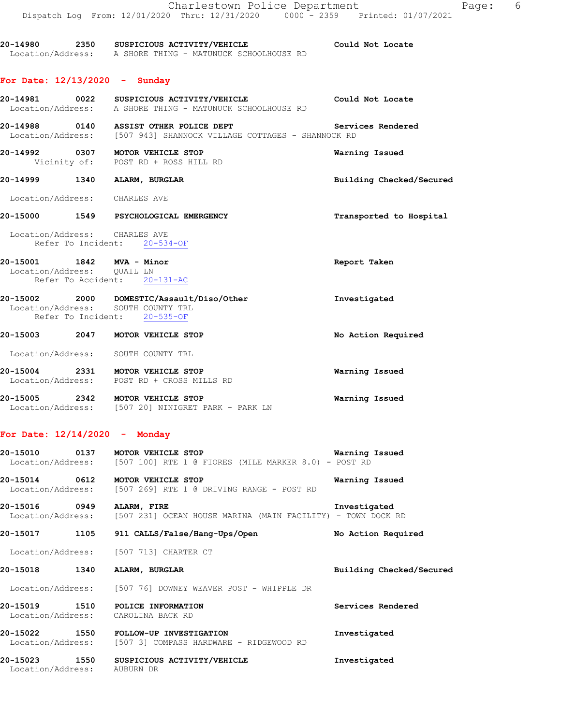|                                 |      | Charlestown Police Department<br>Dispatch Log From: 12/01/2020 Thru: 12/31/2020 0000 - 2359 Printed: 01/07/2021 | Page: 6                  |
|---------------------------------|------|-----------------------------------------------------------------------------------------------------------------|--------------------------|
|                                 |      | 20-14980 2350 SUSPICIOUS ACTIVITY/VEHICLE<br>Location/Address: A SHORE THING - MATUNUCK SCHOOLHOUSE RD          | Could Not Locate         |
| For Date: $12/13/2020 -$ Sunday |      |                                                                                                                 |                          |
|                                 |      | 20-14981 0022 SUSPICIOUS ACTIVITY/VEHICLE<br>Location/Address: A SHORE THING - MATUNUCK SCHOOLHOUSE RD          | Could Not Locate         |
|                                 |      | 20-14988 0140 ASSIST OTHER POLICE DEPT<br>Location/Address: [507 943] SHANNOCK VILLAGE COTTAGES - SHANNOCK RD   | Services Rendered        |
|                                 |      | 20-14992 0307 MOTOR VEHICLE STOP<br>Vicinity of: POST RD + ROSS HILL RD                                         | Warning Issued           |
|                                 |      | 20-14999 1340 ALARM, BURGLAR                                                                                    | Building Checked/Secured |
| Location/Address: CHARLES AVE   |      |                                                                                                                 |                          |
|                                 |      | 20-15000 1549 PSYCHOLOGICAL EMERGENCY                                                                           | Transported to Hospital  |
| Location/Address: CHARLES AVE   |      | Refer To Incident: 20-534-OF                                                                                    |                          |
| Location/Address: QUAIL LN      |      | 20-15001 1842 MVA - Minor<br>Refer To Accident: 20-131-AC                                                       | Report Taken             |
|                                 |      | 20-15002 2000 DOMESTIC/Assault/Diso/Other<br>Location/Address: SOUTH COUNTY TRL<br>Refer To Incident: 20-535-OF | Investigated             |
|                                 |      | 20-15003 2047 MOTOR VEHICLE STOP                                                                                | No Action Required       |
|                                 |      | Location/Address: SOUTH COUNTY TRL                                                                              |                          |
|                                 |      | 20-15004 2331 MOTOR VEHICLE STOP<br>Location/Address: POST RD + CROSS MILLS RD                                  | Warning Issued           |
|                                 |      | 20-15005 2342 MOTOR VEHICLE STOP<br>Location/Address: [507 20] NINIGRET PARK - PARK LN                          | Warning Issued           |
| For Date: $12/14/2020 -$ Monday |      |                                                                                                                 |                          |
| 20-15010 0137                   |      | MOTOR VEHICLE STOP<br>Location/Address: [507 100] RTE 1 @ FIORES (MILE MARKER 8.0) - POST RD                    | Warning Issued           |
|                                 |      | 20-15014 0612 MOTOR VEHICLE STOP<br>Location/Address: [507 269] RTE 1 @ DRIVING RANGE - POST RD                 | Warning Issued           |
| 20-15016 0949                   |      | <b>ALARM, FIRE</b><br>Location/Address: [507 231] OCEAN HOUSE MARINA (MAIN FACILITY) - TOWN DOCK RD             | Investigated             |
| 20-15017                        | 1105 | 911 CALLS/False/Hang-Ups/Open                                                                                   | No Action Required       |
|                                 |      | Location/Address: [507 713] CHARTER CT                                                                          |                          |
|                                 |      | 20-15018 1340 ALARM, BURGLAR                                                                                    | Building Checked/Secured |
|                                 |      | Location/Address: [507 76] DOWNEY WEAVER POST - WHIPPLE DR                                                      |                          |
|                                 |      | 20-15019 1510 POLICE INFORMATION<br>Location/Address: CAROLINA BACK RD                                          | Services Rendered        |
|                                 |      | 20-15022 1550 FOLLOW-UP INVESTIGATION<br>Location/Address: [507 3] COMPASS HARDWARE - RIDGEWOOD RD              | Investigated             |

**20-15023 1550 SUSPICIOUS ACTIVITY/VEHICLE Investigated**  Location/Address: AUBURN DR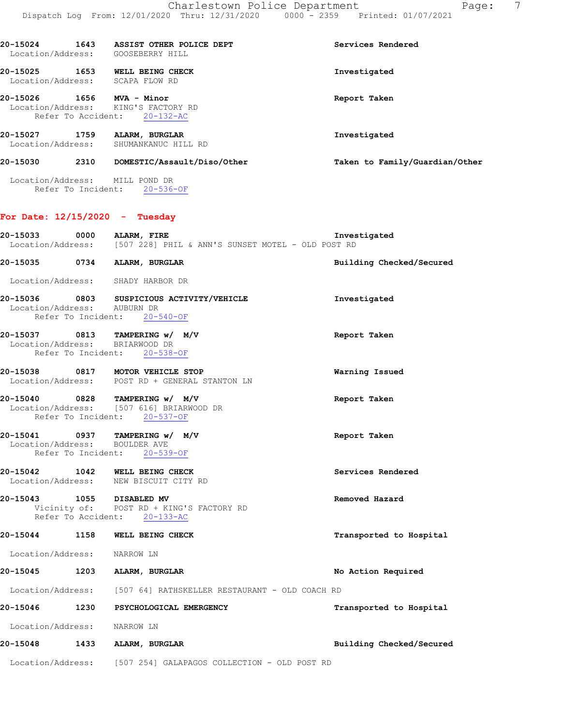|                                  | 20-15024 1643 ASSIST OTHER POLICE DEPT<br>Location/Address: GOOSEBERRY HILL                                | Services Rendered              |
|----------------------------------|------------------------------------------------------------------------------------------------------------|--------------------------------|
|                                  | 20-15025 1653 WELL BEING CHECK<br>Location/Address: SCAPA FLOW RD                                          | Investigated                   |
|                                  | 20-15026 1656 MVA - Minor<br>Location/Address: KING'S FACTORY RD<br>Refer To Accident: 20-132-AC           | Report Taken                   |
|                                  | 20-15027 1759 ALARM, BURGLAR<br>Location/Address: SHUMANKANUC HILL RD                                      | Investigated                   |
|                                  | 20-15030 2310 DOMESTIC/Assault/Diso/Other                                                                  | Taken to Family/Guardian/Other |
| Location/Address: MILL POND DR   | Refer To Incident: 20-536-OF                                                                               |                                |
| For Date: $12/15/2020$ - Tuesday |                                                                                                            |                                |
|                                  | 20-15033 0000 ALARM, FIRE<br>Location/Address: [507 228] PHIL & ANN'S SUNSET MOTEL - OLD POST RD           | Investigated                   |
|                                  | 20-15035 0734 ALARM, BURGLAR                                                                               | Building Checked/Secured       |
|                                  | Location/Address: SHADY HARBOR DR                                                                          |                                |
| Location/Address: AUBURN DR      | 20-15036 0803 SUSPICIOUS ACTIVITY/VEHICLE<br>Refer To Incident: 20-540-OF                                  | Investigated                   |
|                                  | 20-15037 0813 TAMPERING w/ M/V<br>Location/Address: BRIARWOOD DR<br>Refer To Incident: 20-538-OF           | Report Taken                   |
|                                  | 20-15038 0817 MOTOR VEHICLE STOP<br>Location/Address: POST RD + GENERAL STANTON LN                         | Warning Issued                 |
|                                  | 20-15040 0828 TAMPERING w/ M/V<br>Location/Address: [507 616] BRIARWOOD DR<br>Refer To Incident: 20-537-OF | Report Taken                   |
| Location/Address: BOULDER AVE    | 20-15041 0937 TAMPERING w/ M/V<br>Refer To Incident: 20-539-OF                                             | Report Taken                   |
| 20-15042                         | 1042 WELL BEING CHECK<br>Location/Address: NEW BISCUIT CITY RD                                             | Services Rendered              |
| 20-15043 1055 DISABLED MV        | Vicinity of: POST RD + KING'S FACTORY RD<br>Refer To Accident: 20-133-AC                                   | Removed Hazard                 |
|                                  | 20-15044 1158 WELL BEING CHECK                                                                             | Transported to Hospital        |
| Location/Address: NARROW LN      |                                                                                                            |                                |
|                                  | 20-15045 1203 ALARM, BURGLAR                                                                               | No Action Required             |
|                                  | Location/Address: [507 64] RATHSKELLER RESTAURANT - OLD COACH RD                                           |                                |
| 20-15046 1230                    | PSYCHOLOGICAL EMERGENCY                                                                                    | Transported to Hospital        |
| Location/Address: NARROW LN      |                                                                                                            |                                |
|                                  | 20-15048 1433 ALARM, BURGLAR                                                                               | Building Checked/Secured       |
|                                  | Location/Address: [507 254] GALAPAGOS COLLECTION - OLD POST RD                                             |                                |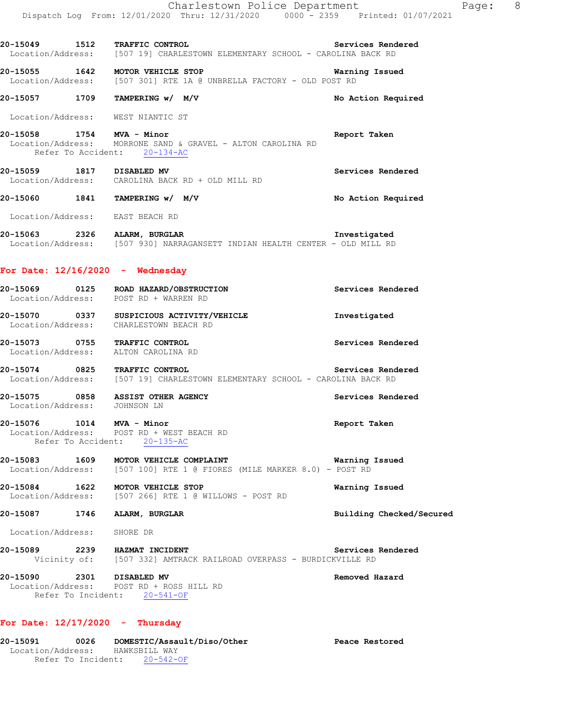| 20-15049<br>1512<br>Location/Address: | Services Rendered<br><b>TRAFFIC CONTROL</b><br>[507 19] CHARLESTOWN ELEMENTARY SCHOOL - CAROLINA BACK RD |  |
|---------------------------------------|----------------------------------------------------------------------------------------------------------|--|
| 20-15055<br>1642<br>Location/Address: | MOTOR VEHICLE STOP<br>Warning Issued<br>[507 301] RTE 1A @ UNBRELLA FACTORY - OLD POST RD                |  |

**20-15057 1709 TAMPERING w/ M/V No Action Required** 

Location/Address: WEST NIANTIC ST

**20-15058 1754 MVA - Minor Report Taken**  Location/Address: MORRONE SAND & GRAVEL - ALTON CAROLINA RD Refer To Accident: 20-134-AC

**20-15059 1817 DISABLED MV Services Rendered**  Location/Address: CAROLINA BACK RD + OLD MILL RD

**20-15060 1841 TAMPERING w/ M/V No Action Required** 

**20-15063 2326 ALARM, BURGLAR Investigated**  Location/Address: [507 930] NARRAGANSETT INDIAN HEALTH CENTER - OLD MILL RD

### **For Date: 12/16/2020 - Wednesday**

Location/Address: EAST BEACH RD

| 20-15069          | 0125 | ROAD HAZARD/OBSTRUCTION | Services Rendered |  |
|-------------------|------|-------------------------|-------------------|--|
| Location/Address: |      | POST RD + WARREN RD     |                   |  |
|                   |      |                         |                   |  |

**20-15070 0337 SUSPICIOUS ACTIVITY/VEHICLE Investigated**  Location/Address: CHARLESTOWN BEACH RD

**20-15073 0755 TRAFFIC CONTROL Services Rendered**  Location/Address: ALTON CAROLINA RD

**20-15074 0825 TRAFFIC CONTROL Services Rendered**  Location/Address: [507 19] CHARLESTOWN ELEMENTARY SCHOOL - CAROLINA BACK RD

**20-15075 0858 ASSIST OTHER AGENCY Services Rendered**  Location/Address: JOHNSON LN

**20-15076 1014 MVA - Minor Report Taken**  Location/Address: POST RD + WEST BEACH RD Refer To Accident: 20-135-AC

**20-15083 1609 MOTOR VEHICLE COMPLAINT Warning Issued**  Location/Address: [507 100] RTE 1 @ FIORES (MILE MARKER 8.0) - POST RD

**20-15084 1622 MOTOR VEHICLE STOP WARE WAREN WARE ISSUED**<br>
Location/Address: [507 266] RTE 1 @ WILLOWS - POST RD [507 266] RTE 1 @ WILLOWS - POST RD

**20-15087 1746 ALARM, BURGLAR Building Checked/Secured** 

Location/Address: SHORE DR

**20-15089 2239 HAZMAT INCIDENT Services Rendered**<br>Vicinity of: [507 332] AMTRACK RAILROAD OVERPASS - BURDICKVILLE RD [507 332] AMTRACK RAILROAD OVERPASS - BURDICKVILLE RD

Peace Restored

**20-15090 2301 DISABLED MV Removed Hazard**  Location/Address: POST RD + ROSS HILL RD Refer To Incident: 20-541-OF

## **For Date: 12/17/2020 - Thursday**

| 20-15091          | 0026               | DOMESTIC/Assault/Diso/Other |  |
|-------------------|--------------------|-----------------------------|--|
| Location/Address: |                    | HAWKSBILL WAY               |  |
|                   | Refer To Incident: | $20 - 542 - 0F$             |  |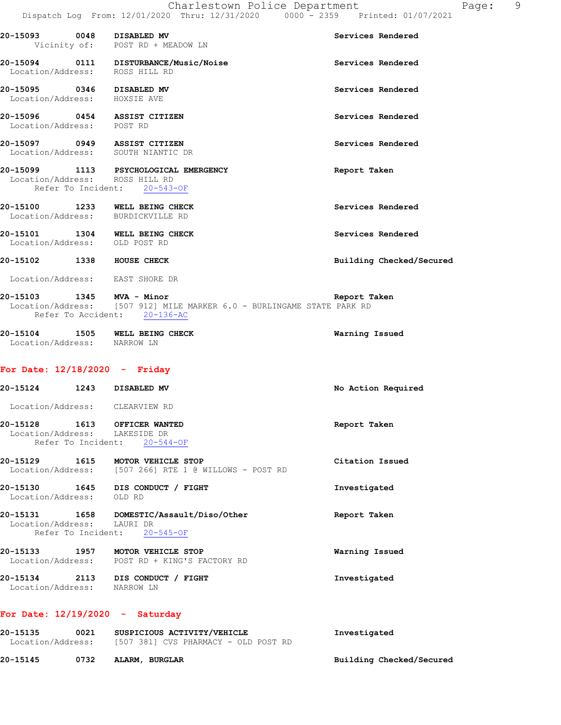|                                                           | Charlestown Police Department<br>Dispatch Log From: 12/01/2020 Thru: 12/31/2020 0000 - 2359 Printed: 01/07/2021 |                          |
|-----------------------------------------------------------|-----------------------------------------------------------------------------------------------------------------|--------------------------|
| 20-15093 0048 DISABLED MV                                 |                                                                                                                 | Services Rendered        |
|                                                           | Vicinity of: POST RD + MEADOW LN                                                                                |                          |
| Location/Address: ROSS HILL RD                            | 20-15094 0111 DISTURBANCE/Music/Noise                                                                           | Services Rendered        |
| 20-15095 0346 DISABLED MV<br>Location/Address: HOXSIE AVE |                                                                                                                 | Services Rendered        |
| Location/Address: POST RD                                 | 20-15096 0454 ASSIST CITIZEN                                                                                    | Services Rendered        |
|                                                           | 20-15097 0949 ASSIST CITIZEN<br>Location/Address: SOUTH NIANTIC DR                                              | Services Rendered        |
|                                                           | 20-15099 1113 PSYCHOLOGICAL EMERGENCY<br>Location/Address: ROSS HILL RD<br>Refer To Incident: 20-543-OF         | Report Taken             |
|                                                           | 20-15100 1233 WELL BEING CHECK<br>Location/Address: BURDICKVILLE RD                                             | Services Rendered        |
| Location/Address: OLD POST RD                             | 20-15101 1304 WELL BEING CHECK                                                                                  | Services Rendered        |
| 20-15102 1338 HOUSE CHECK                                 |                                                                                                                 | Building Checked/Secured |
| Location/Address: EAST SHORE DR                           |                                                                                                                 |                          |
| 20-15103 1345 MVA - Minor                                 | Location/Address: [507 912] MILE MARKER 6.0 - BURLINGAME STATE PARK RD<br>Refer To Accident: 20-136-AC          | Report Taken             |
| Location/Address: NARROW LN                               | 20-15104 1505 WELL BEING CHECK                                                                                  | Warning Issued           |
| For Date: $12/18/2020 -$ Friday                           |                                                                                                                 |                          |
| 20-15124 1243 DISABLED MV                                 |                                                                                                                 | No Action Required       |
|                                                           | Location/Address: CLEARVIEW RD                                                                                  |                          |
| Location/Address: LAKESIDE DR                             | 20-15128   1613   OFFICER WANTED<br>Refer To Incident: 20-544-OF                                                | Report Taken             |
| 20-15129                                                  | 1615 MOTOR VEHICLE STOP<br>Location/Address: [507 266] RTE 1 @ WILLOWS - POST RD                                | Citation Issued          |

| Location/Address: CLEARVIEW RD                                    |                                                                                           |                 |
|-------------------------------------------------------------------|-------------------------------------------------------------------------------------------|-----------------|
| 20-15128   1613   OFFICER WANTED<br>Location/Address: LAKESIDE DR | Refer To Incident: 20-544-OF                                                              | Report Taken    |
|                                                                   | 20-15129 1615 MOTOR VEHICLE STOP<br>Location/Address: [507 266] RTE 1 @ WILLOWS - POST RD | Citation Issued |
| 20-15130<br>Location/Address: OLD RD                              | 1645 DIS CONDUCT / FIGHT                                                                  | Investigated    |
| Location/Address: LAURI DR                                        | 20-15131  1658 DOMESTIC/Assault/Diso/Other<br>Refer To Incident: 20-545-OF                | Report Taken    |
|                                                                   | 20-15133 1957 MOTOR VEHICLE STOP<br>Location/Address: POST RD + KING'S FACTORY RD         | Warning Issued  |
| 20-15134<br>Location/Address:                                     | 2113 DIS CONDUCT / FIGHT<br>NARROW LN                                                     | Investigated    |
| For Date: $12/19/2020$ -                                          | Saturday                                                                                  |                 |

# **20-15135 0021 SUSPICIOUS ACTIVITY/VEHICLE Investigated**  Location/Address: [507 381] CVS PHARMACY - OLD POST RD **20-15145 0732 ALARM, BURGLAR Building Checked/Secured**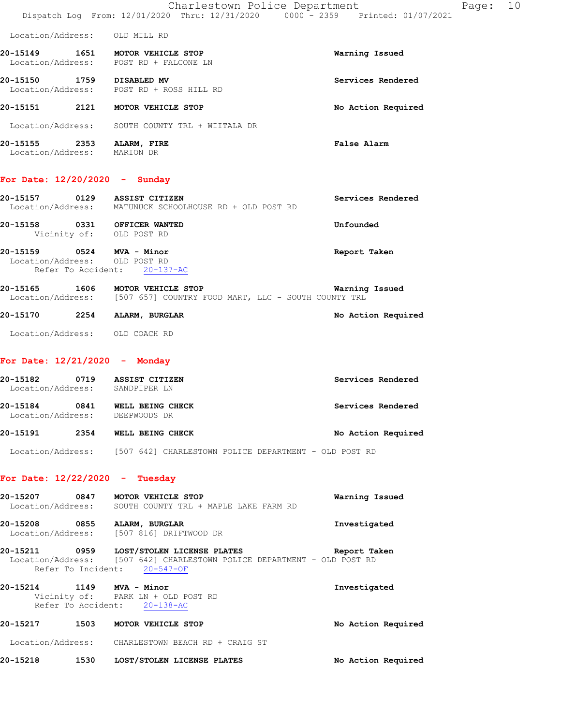Location/Address: OLD MILL RD

| 20-15149<br>Location/Address: | 1651 | <b>MOTOR VEHICLE STOP</b><br>POST RD + FALCONE LN | Warning Issued     |
|-------------------------------|------|---------------------------------------------------|--------------------|
| 20-15150<br>Location/Address: | 1759 | DISABLED MV<br>POST RD + ROSS HILL RD             | Services Rendered  |
| 20-15151                      | 2121 | MOTOR VEHICLE STOP                                | No Action Required |
| Location/Address:             |      | SOUTH COUNTY TRL + WIITALA DR                     |                    |
| 20-15155<br>Location/Address: | 2353 | ALARM, FIRE<br>MARION DR                          | <b>False Alarm</b> |

### **For Date: 12/20/2020 - Sunday**

| 20-15157<br>Location/Address: | 0129 | ASSIST CITIZEN<br>MATUNUCK SCHOOLHOUSE RD + OLD POST RD                      | Services Rendered |
|-------------------------------|------|------------------------------------------------------------------------------|-------------------|
| 20-15158                      | 0331 | OFFICER WANTED<br>Vicinity of: OLD POST RD                                   | Unfounded         |
| 20-15159                      | 0524 | MVA - Minor<br>Location/Address: OLD POST RD<br>Refer To Accident: 20-137-AC | Report Taken      |

| 20-15165          | 1606 | MOTOR VEHICLE STOP<br>Warning Issued                |  |
|-------------------|------|-----------------------------------------------------|--|
| Location/Address: |      | [507 657] COUNTRY FOOD MART, LLC - SOUTH COUNTY TRL |  |
| 20-15170          | 2254 | No Action Required<br>ALARM, BURGLAR                |  |
|                   |      |                                                     |  |

# Location/Address: OLD COACH RD

## **For Date: 12/21/2020 - Monday**

| 20-15182<br>Location/Address: | 0719 | ASSIST CITIZEN<br>SANDPIPER LN   | Services Rendered  |
|-------------------------------|------|----------------------------------|--------------------|
| 20-15184<br>Location/Address: | 0841 | WELL BEING CHECK<br>DEEPWOODS DR | Services Rendered  |
| 20-15191                      | 2354 | WELL BEING CHECK                 | No Action Required |

Location/Address: [507 642] CHARLESTOWN POLICE DEPARTMENT - OLD POST RD

### **For Date: 12/22/2020 - Tuesday**

| 20-15207          | 0847 | MOTOR VEHICLE STOP                    | Warning Issued |
|-------------------|------|---------------------------------------|----------------|
| Location/Address: |      | SOUTH COUNTY TRL + MAPLE LAKE FARM RD |                |

**20-15208 0855 ALARM, BURGLAR Investigated**  Location/Address: [507 816] DRIFTWOOD DR

**20-15211 0959 LOST/STOLEN LICENSE PLATES Report Taken**  Location/Address: [507 642] CHARLESTOWN POLICE DEPARTMENT - OLD POST RD Refer To Incident: 20-547-OF

**20-15214 1149 MVA - Minor Investigated**  Vicinity of: PARK LN + OLD POST RD Refer To Accident: 20-138-AC

**20-15217 1503 MOTOR VEHICLE STOP No Action Required**  Location/Address: CHARLESTOWN BEACH RD + CRAIG ST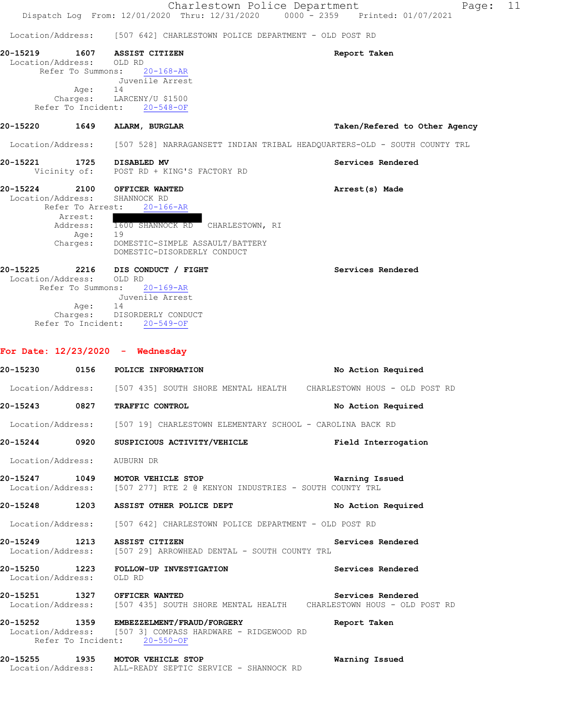Charlestown Police Department Fage: 11 Dispatch Log From: 12/01/2020 Thru: 12/31/2020 0000 - 2359 Printed: 01/07/2021 Location/Address: [507 642] CHARLESTOWN POLICE DEPARTMENT - OLD POST RD **20-15219 1607 ASSIST CITIZEN Report Taken**  Location/Address: OLD RD Refer To Summons: 20-168-AR Juvenile Arrest Age: Charges: LARCENY/U \$1500 Refer To Incident: 20-548-OF **20-15220 1649 ALARM, BURGLAR Taken/Refered to Other Agency** Location/Address: [507 528] NARRAGANSETT INDIAN TRIBAL HEADQUARTERS-OLD - SOUTH COUNTY TRL **20-15221 1725 DISABLED MV Services Rendered**  Vicinity of: POST RD + KING'S FACTORY RD **20-15224 2100 OFFICER WANTED Arrest(s) Made**  Location/Address: SHANNOCK RD Refer To Arrest: 20-166-AR Arrest:<br>Address: Address: 1600 SHANNOCK RD CHARLESTOWN, RI Age: 19 Charges: DOMESTIC-SIMPLE ASSAULT/BATTERY DOMESTIC-DISORDERLY CONDUCT **20-15225 2216 DIS CONDUCT / FIGHT Services Rendered**  Location/Address: OLD RD Refer To Summons: 20-169-AR Juvenile Arrest Age: Charges: DISORDERLY CONDUCT Refer To Incident: 20-549-OF **For Date: 12/23/2020 - Wednesday 20-15230 0156 POLICE INFORMATION No Action Required**  Location/Address: [507 435] SOUTH SHORE MENTAL HEALTH CHARLESTOWN HOUS - OLD POST RD **20-15243 0827 TRAFFIC CONTROL No Action Required**  Location/Address: [507 19] CHARLESTOWN ELEMENTARY SCHOOL - CAROLINA BACK RD **20-15244 0920 SUSPICIOUS ACTIVITY/VEHICLE Field Interrogation**  Location/Address: AUBURN DR **20-15247 1049 MOTOR VEHICLE STOP Warning Issued**  Location/Address: [507 277] RTE 2 @ KENYON INDUSTRIES - SOUTH COUNTY TRL **20-15248 1203 ASSIST OTHER POLICE DEPT No Action Required**  Location/Address: [507 642] CHARLESTOWN POLICE DEPARTMENT - OLD POST RD **20-15249 1213 ASSIST CITIZEN Services Rendered**  Location/Address: [507 29] ARROWHEAD DENTAL - SOUTH COUNTY TRL **20-15250 1223 FOLLOW-UP INVESTIGATION Services Rendered**  Location/Address: OLD RD **20-15251 1327 OFFICER WANTED Services Rendered**  Location/Address: [507 435] SOUTH SHORE MENTAL HEALTH CHARLESTOWN HOUS - OLD POST RD **20-15252 1359 EMBEZZELMENT/FRAUD/FORGERY Report Taken**  Location/Address: [507 3] COMPASS HARDWARE - RIDGEWOOD RD Refer To Incident: 20-550-OF **20-15255 1935 MOTOR VEHICLE STOP Warning Issued**  Location/Address: ALL-READY SEPTIC SERVICE - SHANNOCK RD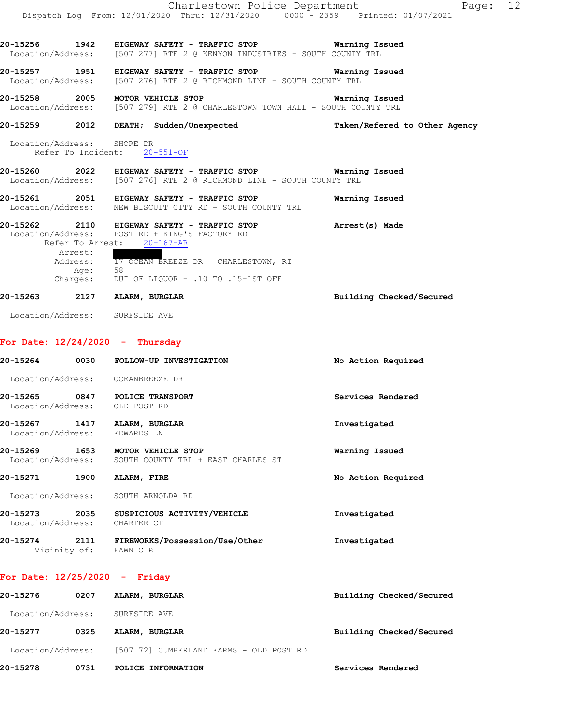|                              | Charlestown Police Department                                                                                                                                                                                                                        | Page: 12                 |
|------------------------------|------------------------------------------------------------------------------------------------------------------------------------------------------------------------------------------------------------------------------------------------------|--------------------------|
|                              | Dispatch Log From: 12/01/2020 Thru: 12/31/2020 0000 - 2359 Printed: 01/07/2021                                                                                                                                                                       |                          |
|                              | 20-15256 1942 HIGHWAY SAFETY - TRAFFIC STOP <b>Warning Issued</b><br>Location/Address: [507 277] RTE 2 @ KENYON INDUSTRIES - SOUTH COUNTY TRL                                                                                                        |                          |
|                              | 20-15257              1951       HIGHWAY SAFETY - TRAFFIC STOP                         Warning Issued<br>Location/Address: [507 276] RTE 2 @ RICHMOND LINE - SOUTH COUNTY TRL                                                                        |                          |
|                              | 20-15258 2005 MOTOR VEHICLE STOP<br>Location/Address: [507 279] RTE 2 @ CHARLESTOWN TOWN HALL - SOUTH COUNTY TRL                                                                                                                                     | Warning Issued           |
|                              | 20-15259 2012 DEATH; Sudden/Unexpected <b>Taken/Refered to Other Agency</b>                                                                                                                                                                          |                          |
| Location/Address: SHORE DR   | Refer To Incident: 20-551-OF                                                                                                                                                                                                                         |                          |
|                              | 20-15260 2022 HIGHWAY SAFETY - TRAFFIC STOP 5 6 Warning Issued<br>Location/Address: [507 276] RTE 2 @ RICHMOND LINE - SOUTH COUNTY TRL                                                                                                               |                          |
|                              | Location/Address: NEW BISCUIT CITY RD + SOUTH COUNTY TRL                                                                                                                                                                                             | Warning Issued           |
| Arrest:<br>Aqe:              | 20-15262 2110 HIGHWAY SAFETY - TRAFFIC STOP <b>Arrest(s)</b> Made<br>Location/Address: POST RD + KING'S FACTORY RD<br>Refer To Arrest: 20-167-AR<br>Address: 17 OCEAN BREEZE DR CHARLESTOWN, RI<br>58<br>Charges: DUI OF LIQUOR - .10 TO .15-1ST OFF |                          |
| 20-15263 2127 ALARM, BURGLAR |                                                                                                                                                                                                                                                      | Building Checked/Secured |

Location/Address: SURFSIDE AVE

# **For Date: 12/24/2020 - Thursday**

| 20-15264                      | 0030                 | FOLLOW-UP INVESTIGATION                                         | No Action Required |
|-------------------------------|----------------------|-----------------------------------------------------------------|--------------------|
| Location/Address:             |                      | OCEANBREEZE DR                                                  |                    |
| 20-15265<br>Location/Address: | 0847                 | POLICE TRANSPORT<br>OLD POST RD                                 | Services Rendered  |
| 20-15267<br>Location/Address: | 1417                 | ALARM, BURGLAR<br>EDWARDS LN                                    | Investigated       |
| 20-15269<br>Location/Address: | 1653                 | <b>MOTOR VEHICLE STOP</b><br>SOUTH COUNTY TRL + EAST CHARLES ST | Warning Issued     |
| 20-15271                      | 1900                 | ALARM, FIRE                                                     | No Action Required |
| Location/Address:             |                      | SOUTH ARNOLDA RD                                                |                    |
| 20-15273<br>Location/Address: | 2035                 | SUSPICIOUS ACTIVITY/VEHICLE<br>CHARTER CT                       | Investigated       |
| 20-15274                      | 2111<br>Vicinity of: | FIREWORKS/Possession/Use/Other<br>FAWN CIR                      | Investigated       |

# **For Date: 12/25/2020 - Friday**

| 20-15276          | 0207 | ALARM, BURGLAR                                            | Building Checked/Secured |
|-------------------|------|-----------------------------------------------------------|--------------------------|
| Location/Address: |      | SURFSIDE AVE                                              |                          |
| 20-15277          | 0325 | ALARM, BURGLAR                                            | Building Checked/Secured |
|                   |      | Location/Address: [507 72] CUMBERLAND FARMS - OLD POST RD |                          |
| 20-15278          | 0731 | POLICE INFORMATION                                        | Services Rendered        |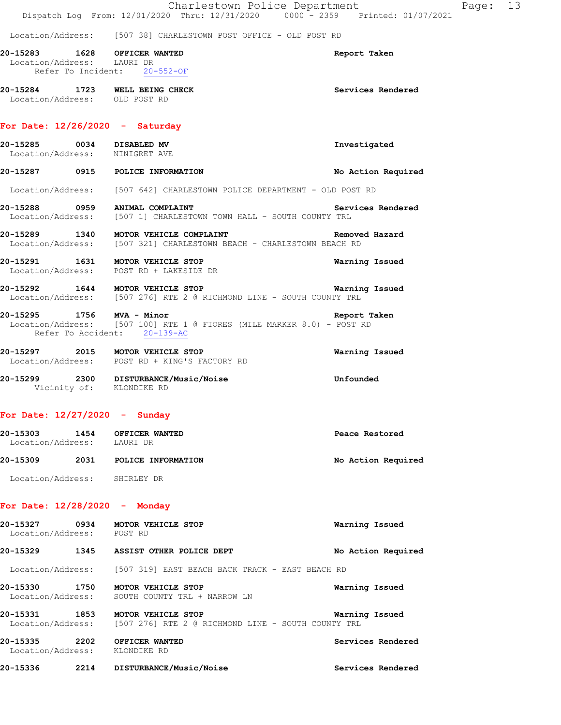|                                                                 | Location/Address: [507 38] CHARLESTOWN POST OFFICE - OLD POST RD                                                                    |                          |
|-----------------------------------------------------------------|-------------------------------------------------------------------------------------------------------------------------------------|--------------------------|
| 20-15283 1628 OFFICER WANTED<br>Location/Address: LAURI DR      | Refer To Incident: 20-552-OF                                                                                                        | Report Taken             |
| 20-15284 1723 WELL BEING CHECK<br>Location/Address: OLD POST RD |                                                                                                                                     | <b>Services Rendered</b> |
| For Date: $12/26/2020 -$ Saturday                               |                                                                                                                                     |                          |
| 20-15285 0034 DISABLED MV<br>Location/Address: NINIGRET AVE     |                                                                                                                                     | Investigated             |
|                                                                 | 20-15287 0915 POLICE INFORMATION                                                                                                    | No Action Required       |
|                                                                 | Location/Address: [507 642] CHARLESTOWN POLICE DEPARTMENT - OLD POST RD                                                             |                          |
|                                                                 | 20-15288 0959 ANIMAL COMPLAINT Serv<br>Location/Address: [507 1] CHARLESTOWN TOWN HALL - SOUTH COUNTY TRL                           | Services Rendered        |
|                                                                 | 20-15289 1340 MOTOR VEHICLE COMPLAINT Removed Hazard Location/Address: [507 321] CHARLESTOWN BEACH - CHARLESTOWN BEACH RD           |                          |
|                                                                 | 20-15291 1631 MOTOR VEHICLE STOP 1999 1999 Warning Issued<br>Location/Address: POST RD + LAKESIDE DR                                |                          |
|                                                                 | 20-15292 1644 MOTOR VEHICLE STOP<br>Location/Address: [507 276] RTE 2 @ RICHMOND LINE - SOUTH COUNTY TRL                            | Warning Issued           |
|                                                                 | 20-15295 1756 MVA - Minor<br>Location/Address: [507 100] RTE 1 @ FIORES (MILE MARKER 8.0) - POST RD<br>Refer To Accident: 20-139-AC | Report Taken             |
|                                                                 | 20-15297 2015 MOTOR VEHICLE STOP<br>Location/Address: POST RD + KING'S FACTORY RD                                                   | Warning Issued           |
|                                                                 | 20-15299 2300 DISTURBANCE/Music/Noise<br>Vicinity of: KLONDIKE RD                                                                   | Unfounded                |

| 20-15303          | 1454 | OFFICER WANTED     | Peace Restored     |
|-------------------|------|--------------------|--------------------|
| Location/Address: |      | LAURI DR           |                    |
| 20-15309          | 2031 | POLICE INFORMATION | No Action Required |
|                   |      |                    |                    |

Location/Address: SHIRLEY DR

# **For Date: 12/28/2020 - Monday**

| 20-15327<br>0934<br>Location/Address: | MOTOR VEHICLE STOP<br>POST RD                                            | Warning Issued     |
|---------------------------------------|--------------------------------------------------------------------------|--------------------|
| 20-15329<br>1345                      | ASSIST OTHER POLICE DEPT                                                 | No Action Required |
| Location/Address:                     | [507 319] EAST BEACH BACK TRACK - EAST BEACH RD                          |                    |
| 20-15330<br>1750<br>Location/Address: | MOTOR VEHICLE STOP<br>SOUTH COUNTY TRL + NARROW LN                       | Warning Issued     |
| 1853<br>20-15331<br>Location/Address: | MOTOR VEHICLE STOP<br>[507 276] RTE 2 @ RICHMOND LINE - SOUTH COUNTY TRL | Warning Issued     |
| 20-15335<br>2202<br>Location/Address: | OFFICER WANTED<br>KLONDIKE RD                                            | Services Rendered  |

**20-15336 2214 DISTURBANCE/Music/Noise Services Rendered**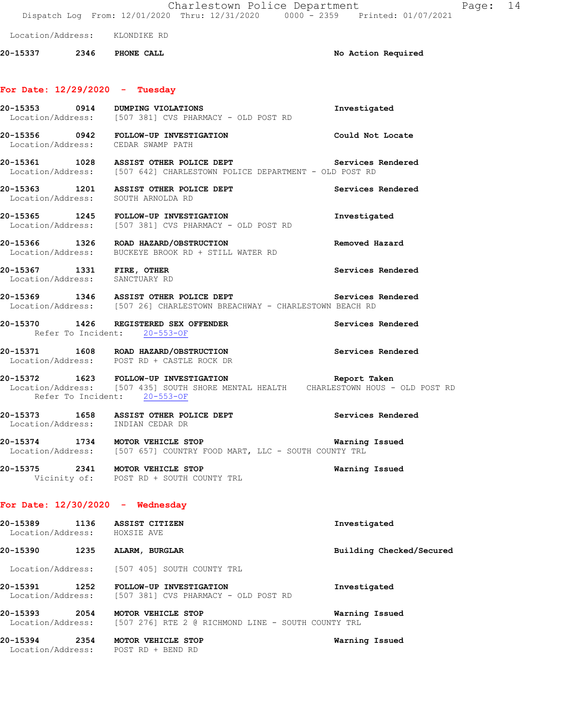| Location/Address: | KLONDIKE RD |  |
|-------------------|-------------|--|
|                   |             |  |

**20-15337 2346 PHONE CALL No Action Required** 

# **For Date: 12/29/2020 - Tuesday**

|                                                             |      | 20-15353 0914 DUMPING VIOLATIONS<br>Location/Address: [507 381] CVS PHARMACY - OLD POST RD                                                                                         | Investigated             |
|-------------------------------------------------------------|------|------------------------------------------------------------------------------------------------------------------------------------------------------------------------------------|--------------------------|
|                                                             |      | 20-15356 0942 FOLLOW-UP INVESTIGATION<br>Could Not Locate<br>Location/Address: CEDAR SWAMP PATH                                                                                    |                          |
|                                                             |      | 20-15361 1028 ASSIST OTHER POLICE DEPT Services Rendered<br>Location/Address: [507 642] CHARLESTOWN POLICE DEPARTMENT - OLD POST RD                                                |                          |
|                                                             |      | 20-15363 1201 ASSIST OTHER POLICE DEPT<br>Location/Address: SOUTH ARNOLDA RD                                                                                                       | Services Rendered        |
|                                                             |      | 20-15365 1245 FOLLOW-UP INVESTIGATION<br>Location/Address: [507 381] CVS PHARMACY - OLD POST RD                                                                                    | Investigated             |
|                                                             |      | 20-15366 1326 ROAD HAZARD/OBSTRUCTION<br>Location/Address: BUCKEYE BROOK RD + STILL WATER RD                                                                                       | Removed Hazard           |
| 20-15367 1331 FIRE, OTHER<br>Location/Address: SANCTUARY RD |      |                                                                                                                                                                                    | Services Rendered        |
|                                                             |      | 20-15369 1346 ASSIST OTHER POLICE DEPT<br>Location/Address: [507 26] CHARLESTOWN BREACHWAY - CHARLESTOWN BEACH RD                                                                  | Services Rendered        |
|                                                             |      | 20-15370 1426 REGISTERED SEX OFFENDER<br>Refer To Incident: 20-553-OF                                                                                                              | Services Rendered        |
|                                                             |      | 20-15371 1608 ROAD HAZARD/OBSTRUCTION<br>Location/Address: POST RD + CASTLE ROCK DR                                                                                                | Services Rendered        |
|                                                             |      | 20-15372   1623   FOLLOW-UP INVESTIGATION   Report Taken<br>Location/Address: [507 435] SOUTH SHORE MENTAL HEALTH   CHARLESTOWN HOUS - OLD POST RD<br>Refer To Incident: 20-553-OF |                          |
|                                                             |      | 20-15373 1658 ASSIST OTHER POLICE DEPT<br>Location/Address: INDIAN CEDAR DR                                                                                                        | Services Rendered        |
|                                                             |      | 20-15374 1734 MOTOR VEHICLE STOP<br>Location/Address: [507 657] COUNTRY FOOD MART, LLC - SOUTH COUNTY TRL                                                                          | <b>Warning Issued</b>    |
|                                                             |      | 20-15375 2341 MOTOR VEHICLE STOP<br>Vicinity of: POST RD + SOUTH COUNTY TRL                                                                                                        | Warning Issued           |
|                                                             |      | For Date: $12/30/2020 -$ Wednesday                                                                                                                                                 |                          |
| Location/Address: HOXSIE AVE                                |      | 20-15389 1136 ASSIST CITIZEN                                                                                                                                                       | Investigated             |
|                                                             |      | 20-15390 1235 ALARM, BURGLAR                                                                                                                                                       | Building Checked/Secured |
|                                                             |      | Location/Address: [507 405] SOUTH COUNTY TRL                                                                                                                                       |                          |
| 20-15391<br>Location/Address:                               | 1252 | FOLLOW-UP INVESTIGATION<br>[507 381] CVS PHARMACY - OLD POST RD                                                                                                                    | Investigated             |
|                                                             |      | 20-15393 2054 MOTOR VEHICLE STOP<br>Location/Address: [507 276] RTE 2 @ RICHMOND LINE - SOUTH COUNTY TRL                                                                           | Warning Issued           |
| 20-15394                                                    | 2354 | MOTOR VEHICLE STOP<br>Location/Address: POST RD + BEND RD                                                                                                                          | Warning Issued           |